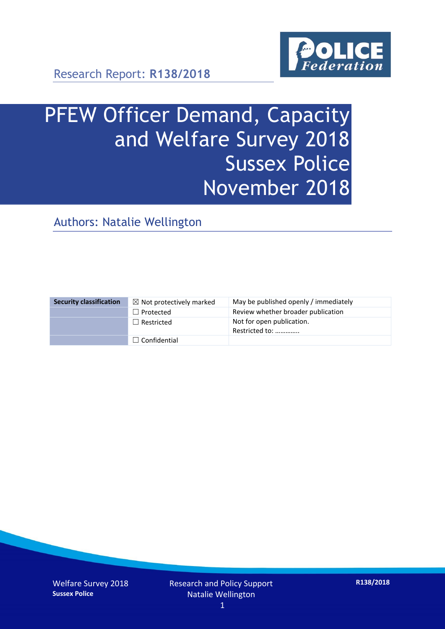

# PFEW Officer Demand, Capacity and Welfare Survey 2018 Sussex Police November 2018

Authors: Natalie Wellington

| <b>Security classification</b> | $\boxtimes$ Not protectively marked | May be published openly / immediately       |
|--------------------------------|-------------------------------------|---------------------------------------------|
|                                | $\Box$ Protected                    | Review whether broader publication          |
|                                | $\Box$ Restricted                   | Not for open publication.<br>Restricted to: |
|                                | $\Box$ Confidential                 |                                             |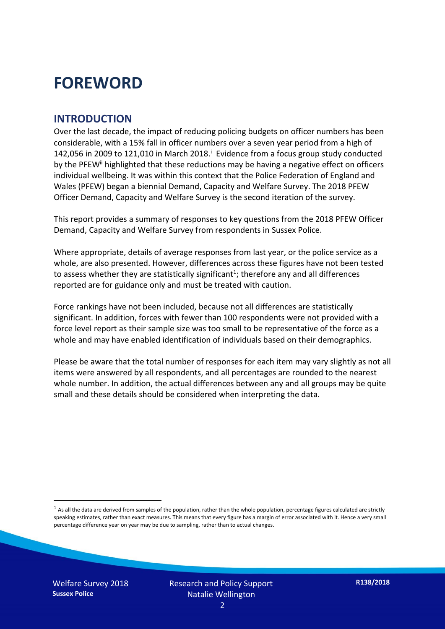# **FOREWORD**

#### **INTRODUCTION**

Over the last decade, the impact of reducing policing budgets on officer numbers has been considerable, with a 15% fall in officer numbers over a seven year period from a high of 142,056 in 2009 to 121,010 in March 2018. $^{\mathrm{i}}$  Evidence from a focus group study conducted by the PFEW<sup>ii</sup> highlighted that these reductions may be having a negative effect on officers individual wellbeing. It was within this context that the Police Federation of England and Wales (PFEW) began a biennial Demand, Capacity and Welfare Survey. The 2018 PFEW Officer Demand, Capacity and Welfare Survey is the second iteration of the survey.

This report provides a summary of responses to key questions from the 2018 PFEW Officer Demand, Capacity and Welfare Survey from respondents in Sussex Police.

Where appropriate, details of average responses from last year, or the police service as a whole, are also presented. However, differences across these figures have not been tested to assess whether they are statistically significant<sup>1</sup>; therefore any and all differences reported are for guidance only and must be treated with caution.

Force rankings have not been included, because not all differences are statistically significant. In addition, forces with fewer than 100 respondents were not provided with a force level report as their sample size was too small to be representative of the force as a whole and may have enabled identification of individuals based on their demographics.

Please be aware that the total number of responses for each item may vary slightly as not all items were answered by all respondents, and all percentages are rounded to the nearest whole number. In addition, the actual differences between any and all groups may be quite small and these details should be considered when interpreting the data.

<u>.</u>

 $<sup>1</sup>$  As all the data are derived from samples of the population, rather than the whole population, percentage figures calculated are strictly</sup> speaking estimates, rather than exact measures. This means that every figure has a margin of error associated with it. Hence a very small percentage difference year on year may be due to sampling, rather than to actual changes.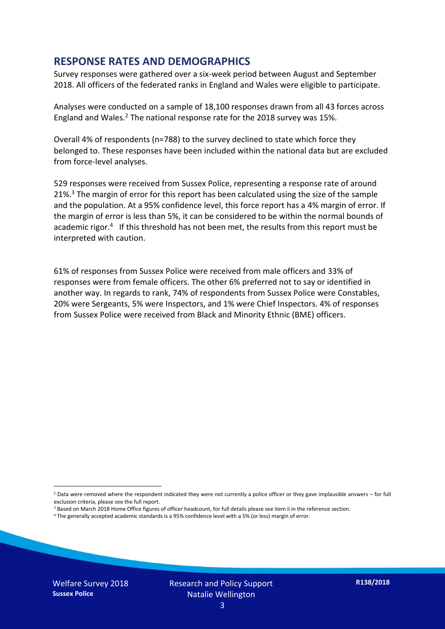#### **RESPONSE RATES AND DEMOGRAPHICS**

Survey responses were gathered over a six-week period between August and September 2018. All officers of the federated ranks in England and Wales were eligible to participate.

Analyses were conducted on a sample of 18,100 responses drawn from all 43 forces across England and Wales.<sup>2</sup> The national response rate for the 2018 survey was 15%.

Overall 4% of respondents (n=788) to the survey declined to state which force they belonged to. These responses have been included within the national data but are excluded from force-level analyses.

529 responses were received from Sussex Police, representing a response rate of around 21%.<sup>3</sup> The margin of error for this report has been calculated using the size of the sample and the population. At a 95% confidence level, this force report has a 4% margin of error. If the margin of error is less than 5%, it can be considered to be within the normal bounds of academic rigor.<sup>4</sup> If this threshold has not been met, the results from this report must be interpreted with caution.

61% of responses from Sussex Police were received from male officers and 33% of responses were from female officers. The other 6% preferred not to say or identified in another way. In regards to rank, 74% of respondents from Sussex Police were Constables, 20% were Sergeants, 5% were Inspectors, and 1% were Chief Inspectors. 4% of responses from Sussex Police were received from Black and Minority Ethnic (BME) officers.

- <sup>3</sup> Based on March 2018 Home Office figures of officer headcount, for full details please see item ii in the reference section.
- <sup>4</sup> The generally accepted academic standards is a 95% confidence level with a 5% (or less) margin of error.

<u>.</u>

 $2$  Data were removed where the respondent indicated they were not currently a police officer or they gave implausible answers – for full exclusion criteria, please see the full report.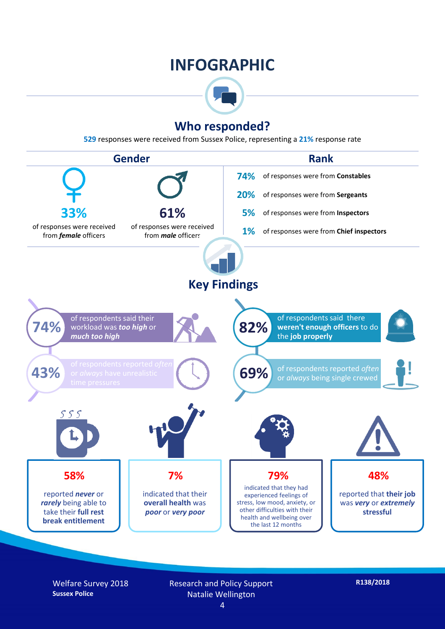## **INFOGRAPHIC**



## **Who responded?**

**529** responses were received from Sussex Police, representing a **21%** response rate



Welfare Survey 2018 **Sussex Police**

Research and Policy Support Natalie Wellington

**R138/2018**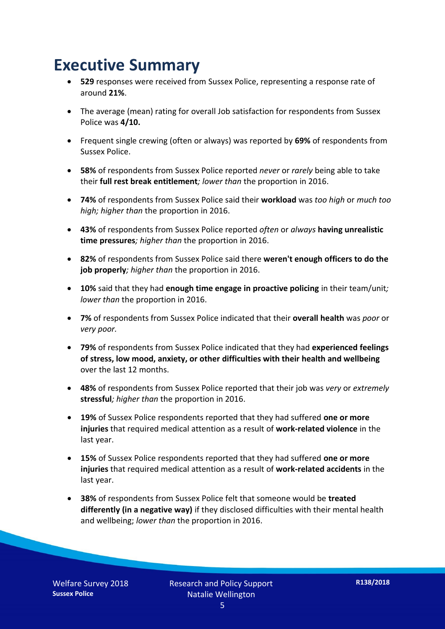# **Executive Summary**

- **529** responses were received from Sussex Police, representing a response rate of around **21%**.
- The average (mean) rating for overall Job satisfaction for respondents from Sussex Police was **4/10.**
- Frequent single crewing (often or always) was reported by **69%** of respondents from Sussex Police.
- **58%** of respondents from Sussex Police reported *never* or *rarely* being able to take their **full rest break entitlement***; lower than* the proportion in 2016.
- **74%** of respondents from Sussex Police said their **workload** was *too high* or *much too high; higher than* the proportion in 2016.
- **43%** of respondents from Sussex Police reported *often* or *always* **having unrealistic time pressures***; higher than* the proportion in 2016.
- **82%** of respondents from Sussex Police said there **weren't enough officers to do the job properly***; higher than* the proportion in 2016.
- **10%** said that they had **enough time engage in proactive policing** in their team/unit*; lower than* the proportion in 2016.
- **7%** of respondents from Sussex Police indicated that their **overall health** was *poor* or *very poor.*
- **79%** of respondents from Sussex Police indicated that they had **experienced feelings of stress, low mood, anxiety, or other difficulties with their health and wellbeing** over the last 12 months.
- **48%** of respondents from Sussex Police reported that their job was *very* or *extremely*  **stressful***; higher than* the proportion in 2016.
- **19%** of Sussex Police respondents reported that they had suffered **one or more injuries** that required medical attention as a result of **work-related violence** in the last year.
- **15%** of Sussex Police respondents reported that they had suffered **one or more injuries** that required medical attention as a result of **work-related accidents** in the last year.
- **38%** of respondents from Sussex Police felt that someone would be **treated differently (in a negative way)** if they disclosed difficulties with their mental health and wellbeing; *lower than* the proportion in 2016.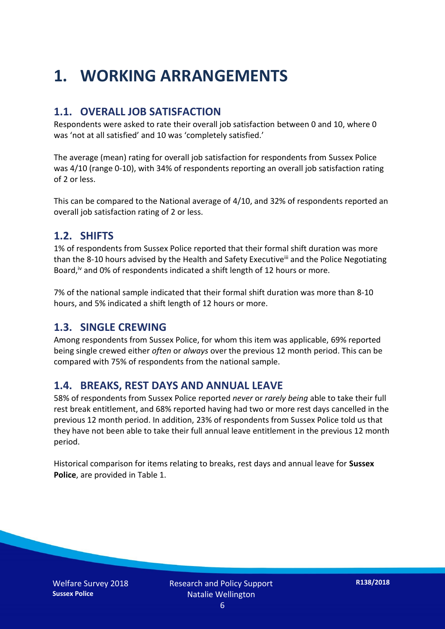# **1. WORKING ARRANGEMENTS**

#### **1.1. OVERALL JOB SATISFACTION**

Respondents were asked to rate their overall job satisfaction between 0 and 10, where 0 was 'not at all satisfied' and 10 was 'completely satisfied.'

The average (mean) rating for overall job satisfaction for respondents from Sussex Police was 4/10 (range 0-10), with 34% of respondents reporting an overall job satisfaction rating of 2 or less.

This can be compared to the National average of 4/10, and 32% of respondents reported an overall job satisfaction rating of 2 or less.

#### **1.2. SHIFTS**

1% of respondents from Sussex Police reported that their formal shift duration was more than the 8-10 hours advised by the Health and Safety Executive<sup>iii</sup> and the Police Negotiating Board,<sup>iv</sup> and 0% of respondents indicated a shift length of 12 hours or more.

7% of the national sample indicated that their formal shift duration was more than 8-10 hours, and 5% indicated a shift length of 12 hours or more.

#### **1.3. SINGLE CREWING**

Among respondents from Sussex Police, for whom this item was applicable, 69% reported being single crewed either *often* or *always* over the previous 12 month period. This can be compared with 75% of respondents from the national sample.

#### **1.4. BREAKS, REST DAYS AND ANNUAL LEAVE**

58% of respondents from Sussex Police reported *never* or *rarely being* able to take their full rest break entitlement, and 68% reported having had two or more rest days cancelled in the previous 12 month period. In addition, 23% of respondents from Sussex Police told us that they have not been able to take their full annual leave entitlement in the previous 12 month period.

Historical comparison for items relating to breaks, rest days and annual leave for **Sussex Police**, are provided in Table 1.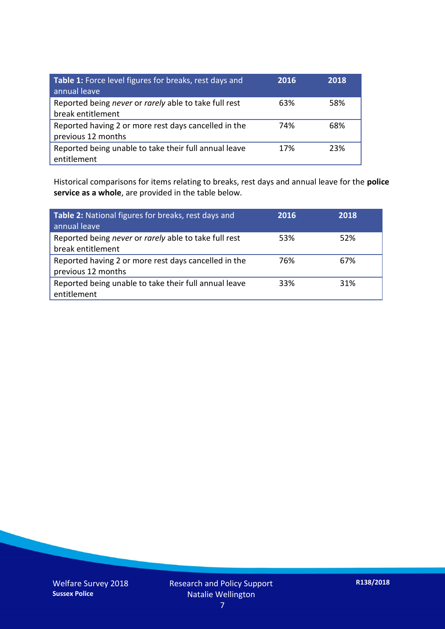| Table 1: Force level figures for breaks, rest days and<br>annual leave     | 2016 | 2018 |
|----------------------------------------------------------------------------|------|------|
| Reported being never or rarely able to take full rest<br>break entitlement | 63%  | 58%  |
| Reported having 2 or more rest days cancelled in the<br>previous 12 months | 74%  | 68%  |
| Reported being unable to take their full annual leave<br>entitlement       | 17%  | 23%  |

Historical comparisons for items relating to breaks, rest days and annual leave for the **police service as a whole**, are provided in the table below.

| Table 2: National figures for breaks, rest days and<br>annual leave        | 2016 | 2018 |
|----------------------------------------------------------------------------|------|------|
| Reported being never or rarely able to take full rest<br>break entitlement | 53%  | 52%  |
| Reported having 2 or more rest days cancelled in the<br>previous 12 months | 76%  | 67%  |
| Reported being unable to take their full annual leave<br>entitlement       | 33%  | 31%  |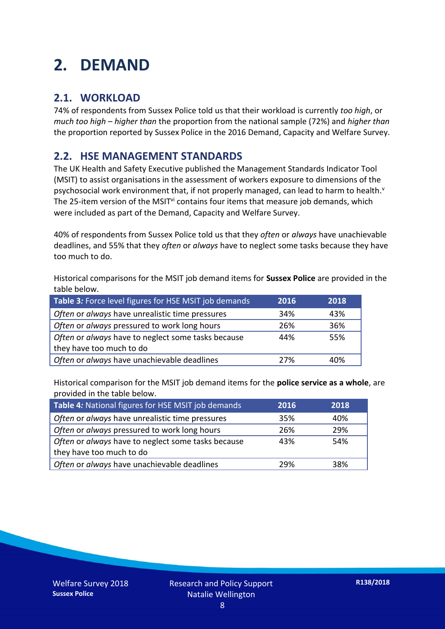# **2. DEMAND**

### **2.1. WORKLOAD**

74% of respondents from Sussex Police told us that their workload is currently *too high*, or *much too high* – *higher than* the proportion from the national sample (72%) and *higher than* the proportion reported by Sussex Police in the 2016 Demand, Capacity and Welfare Survey.

### **2.2. HSE MANAGEMENT STANDARDS**

The UK Health and Safety Executive published the Management Standards Indicator Tool (MSIT) to assist organisations in the assessment of workers exposure to dimensions of the psychosocial work environment that, if not properly managed, can lead to harm to health.<sup>v</sup> The 25-item version of the MSIT<sup>vi</sup> contains four items that measure job demands, which were included as part of the Demand, Capacity and Welfare Survey.

40% of respondents from Sussex Police told us that they *often* or *always* have unachievable deadlines, and 55% that they *often* or *always* have to neglect some tasks because they have too much to do.

Historical comparisons for the MSIT job demand items for **Sussex Police** are provided in the table below.

| Table 3: Force level figures for HSE MSIT job demands | 2016 | 2018 |
|-------------------------------------------------------|------|------|
| Often or always have unrealistic time pressures       | 34%  | 43%  |
| Often or always pressured to work long hours          | 26%  | 36%  |
| Often or always have to neglect some tasks because    | 44%  | 55%  |
| they have too much to do                              |      |      |
| Often or always have unachievable deadlines           | 27%  | 40%  |

Historical comparison for the MSIT job demand items for the **police service as a whole**, are provided in the table below.

| Table 4: National figures for HSE MSIT job demands | 2016 | 2018 |
|----------------------------------------------------|------|------|
| Often or always have unrealistic time pressures    | 35%  | 40%  |
| Often or always pressured to work long hours       | 26%  | 29%  |
| Often or always have to neglect some tasks because | 43%  | 54%  |
| they have too much to do                           |      |      |
| Often or always have unachievable deadlines        | 29%  | 38%  |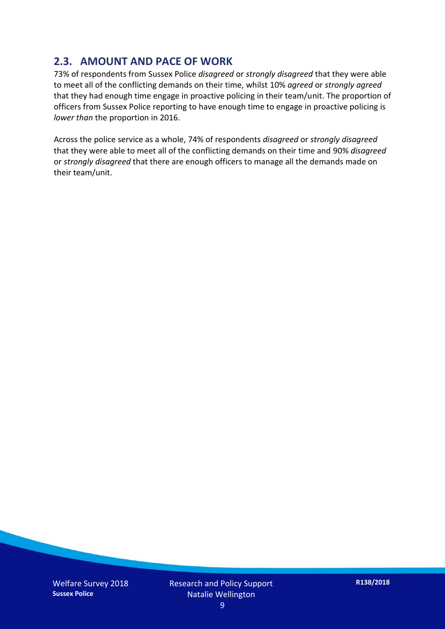### **2.3. AMOUNT AND PACE OF WORK**

73% of respondents from Sussex Police *disagreed* or *strongly disagreed* that they were able to meet all of the conflicting demands on their time, whilst 10% *agreed* or *strongly agreed* that they had enough time engage in proactive policing in their team/unit. The proportion of officers from Sussex Police reporting to have enough time to engage in proactive policing is *lower than* the proportion in 2016.

Across the police service as a whole, 74% of respondents *disagreed* or *strongly disagreed* that they were able to meet all of the conflicting demands on their time and 90% *disagreed* or *strongly disagreed* that there are enough officers to manage all the demands made on their team/unit.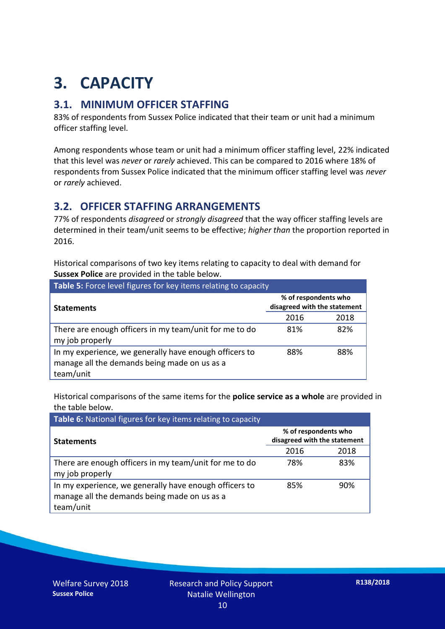# **3. CAPACITY**

### **3.1. MINIMUM OFFICER STAFFING**

83% of respondents from Sussex Police indicated that their team or unit had a minimum officer staffing level.

Among respondents whose team or unit had a minimum officer staffing level, 22% indicated that this level was *never* or *rarely* achieved. This can be compared to 2016 where 18% of respondents from Sussex Police indicated that the minimum officer staffing level was *never* or *rarely* achieved.

### **3.2. OFFICER STAFFING ARRANGEMENTS**

77% of respondents *disagreed* or *strongly disagreed* that the way officer staffing levels are determined in their team/unit seems to be effective; *higher than* the proportion reported in 2016.

Historical comparisons of two key items relating to capacity to deal with demand for **Sussex Police** are provided in the table below.

| Table 5: Force level figures for key items relating to capacity                                                     |                                                      |      |  |
|---------------------------------------------------------------------------------------------------------------------|------------------------------------------------------|------|--|
| <b>Statements</b>                                                                                                   | % of respondents who<br>disagreed with the statement |      |  |
|                                                                                                                     | 2016                                                 | 2018 |  |
| There are enough officers in my team/unit for me to do<br>my job properly                                           | 81%                                                  | 82%  |  |
| In my experience, we generally have enough officers to<br>manage all the demands being made on us as a<br>team/unit | 88%                                                  | 88%  |  |

Historical comparisons of the same items for the **police service as a whole** are provided in the table below.

| Table 6: National figures for key items relating to capacity                                                        |                                                      |      |  |  |
|---------------------------------------------------------------------------------------------------------------------|------------------------------------------------------|------|--|--|
| <b>Statements</b>                                                                                                   | % of respondents who<br>disagreed with the statement |      |  |  |
|                                                                                                                     | 2016                                                 | 2018 |  |  |
| There are enough officers in my team/unit for me to do<br>my job properly                                           | 78%                                                  | 83%  |  |  |
| In my experience, we generally have enough officers to<br>manage all the demands being made on us as a<br>team/unit | 85%                                                  | 90%  |  |  |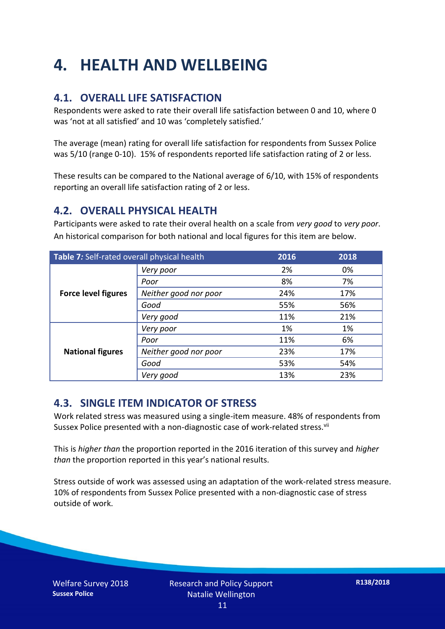# **4. HEALTH AND WELLBEING**

### **4.1. OVERALL LIFE SATISFACTION**

Respondents were asked to rate their overall life satisfaction between 0 and 10, where 0 was 'not at all satisfied' and 10 was 'completely satisfied.'

The average (mean) rating for overall life satisfaction for respondents from Sussex Police was 5/10 (range 0-10). 15% of respondents reported life satisfaction rating of 2 or less.

These results can be compared to the National average of 6/10, with 15% of respondents reporting an overall life satisfaction rating of 2 or less.

#### **4.2. OVERALL PHYSICAL HEALTH**

Participants were asked to rate their overal health on a scale from *very good* to *very poor*. An historical comparison for both national and local figures for this item are below.

| Table 7: Self-rated overall physical health |                       | 2016 | 2018 |
|---------------------------------------------|-----------------------|------|------|
|                                             | Very poor             | 2%   | 0%   |
| <b>Force level figures</b>                  | Poor                  | 8%   | 7%   |
|                                             | Neither good nor poor | 24%  | 17%  |
|                                             | Good                  | 55%  | 56%  |
|                                             | Very good             | 11%  | 21%  |
| <b>National figures</b>                     | Very poor             | 1%   | 1%   |
|                                             | Poor                  | 11%  | 6%   |
|                                             | Neither good nor poor | 23%  | 17%  |
|                                             | Good                  | 53%  | 54%  |
|                                             | Very good             | 13%  | 23%  |

#### **4.3. SINGLE ITEM INDICATOR OF STRESS**

Work related stress was measured using a single-item measure. 48% of respondents from Sussex Police presented with a non-diagnostic case of work-related stress.<sup>vii</sup>

This is *higher than* the proportion reported in the 2016 iteration of this survey and *higher than* the proportion reported in this year's national results.

Stress outside of work was assessed using an adaptation of the work-related stress measure. 10% of respondents from Sussex Police presented with a non-diagnostic case of stress outside of work.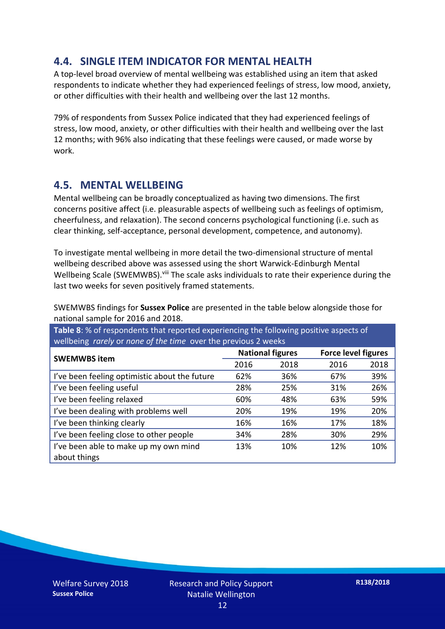### **4.4. SINGLE ITEM INDICATOR FOR MENTAL HEALTH**

A top-level broad overview of mental wellbeing was established using an item that asked respondents to indicate whether they had experienced feelings of stress, low mood, anxiety, or other difficulties with their health and wellbeing over the last 12 months.

79% of respondents from Sussex Police indicated that they had experienced feelings of stress, low mood, anxiety, or other difficulties with their health and wellbeing over the last 12 months; with 96% also indicating that these feelings were caused, or made worse by work.

#### **4.5. MENTAL WELLBEING**

Mental wellbeing can be broadly conceptualized as having two dimensions. The first concerns positive affect (i.e. pleasurable aspects of wellbeing such as feelings of optimism, cheerfulness, and relaxation). The second concerns psychological functioning (i.e. such as clear thinking, self-acceptance, personal development, competence, and autonomy).

To investigate mental wellbeing in more detail the two-dimensional structure of mental wellbeing described above was assessed using the short Warwick-Edinburgh Mental Wellbeing Scale (SWEMWBS). viii The scale asks individuals to rate their experience during the last two weeks for seven positively framed statements.

SWEMWBS findings for **Sussex Police** are presented in the table below alongside those for national sample for 2016 and 2018.

**Table 8**: % of respondents that reported experiencing the following positive aspects of wellbeing *rarely* or *none of the time* over the previous 2 weeks

| <b>SWEMWBS item</b>                           | <b>National figures</b> |      | <b>Force level figures</b> |      |
|-----------------------------------------------|-------------------------|------|----------------------------|------|
|                                               | 2016                    | 2018 | 2016                       | 2018 |
| I've been feeling optimistic about the future | 62%                     | 36%  | 67%                        | 39%  |
| I've been feeling useful                      | 28%                     | 25%  | 31%                        | 26%  |
| I've been feeling relaxed                     | 60%                     | 48%  | 63%                        | 59%  |
| I've been dealing with problems well          | 20%                     | 19%  | 19%                        | 20%  |
| I've been thinking clearly                    | 16%                     | 16%  | 17%                        | 18%  |
| I've been feeling close to other people       | 34%                     | 28%  | 30%                        | 29%  |
| I've been able to make up my own mind         | 13%                     | 10%  | 12%                        | 10%  |
| about things                                  |                         |      |                            |      |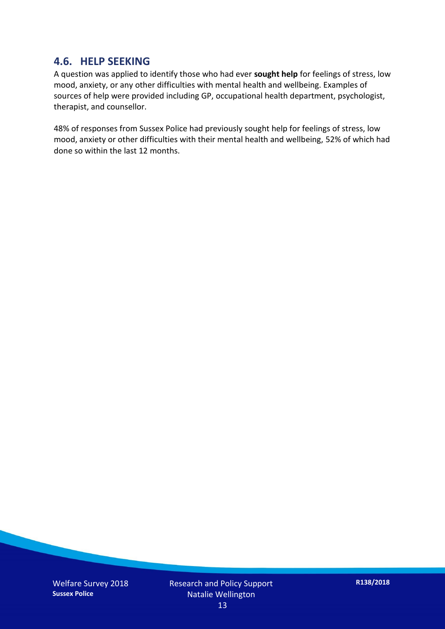#### **4.6. HELP SEEKING**

A question was applied to identify those who had ever **sought help** for feelings of stress, low mood, anxiety, or any other difficulties with mental health and wellbeing. Examples of sources of help were provided including GP, occupational health department, psychologist, therapist, and counsellor.

48% of responses from Sussex Police had previously sought help for feelings of stress, low mood, anxiety or other difficulties with their mental health and wellbeing, 52% of which had done so within the last 12 months.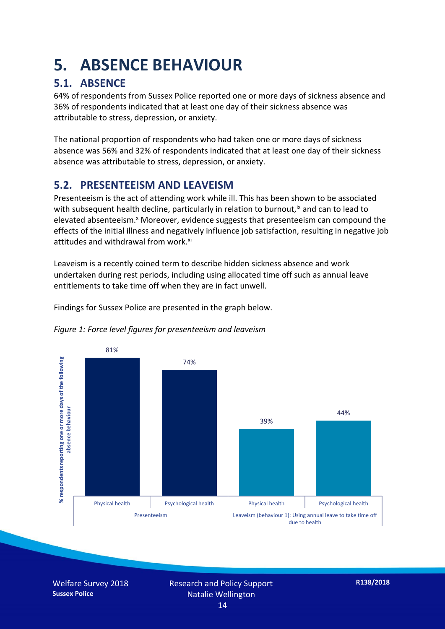# **5. ABSENCE BEHAVIOUR**

## **5.1. ABSENCE**

64% of respondents from Sussex Police reported one or more days of sickness absence and 36% of respondents indicated that at least one day of their sickness absence was attributable to stress, depression, or anxiety.

The national proportion of respondents who had taken one or more days of sickness absence was 56% and 32% of respondents indicated that at least one day of their sickness absence was attributable to stress, depression, or anxiety.

### **5.2. PRESENTEEISM AND LEAVEISM**

Presenteeism is the act of attending work while ill. This has been shown to be associated with subsequent health decline, particularly in relation to burnout,  $\alpha$  and can to lead to elevated absenteeism.<sup>x</sup> Moreover, evidence suggests that presenteeism can compound the effects of the initial illness and negatively influence job satisfaction, resulting in negative job attitudes and withdrawal from work.<sup>xi</sup>

Leaveism is a recently coined term to describe hidden sickness absence and work undertaken during rest periods, including using allocated time off such as annual leave entitlements to take time off when they are in fact unwell.

Findings for Sussex Police are presented in the graph below.





Welfare Survey 2018 **Sussex Police**

Research and Policy Support Natalie Wellington 14

**R138/2018**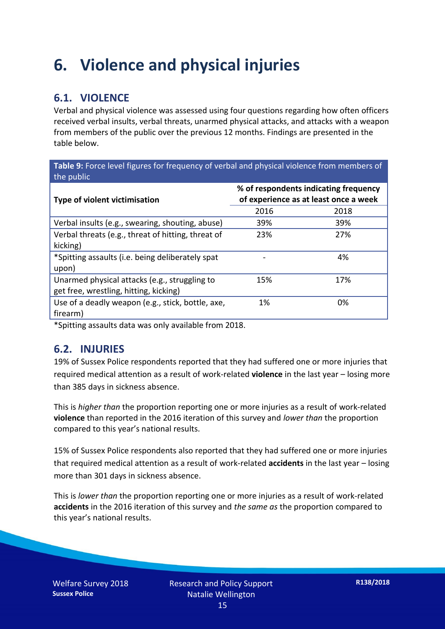# **6. Violence and physical injuries**

## **6.1. VIOLENCE**

Verbal and physical violence was assessed using four questions regarding how often officers received verbal insults, verbal threats, unarmed physical attacks, and attacks with a weapon from members of the public over the previous 12 months. Findings are presented in the table below.

**Table 9:** Force level figures for frequency of verbal and physical violence from members of the public

| Type of violent victimisation                      | % of respondents indicating frequency<br>of experience as at least once a week |      |  |
|----------------------------------------------------|--------------------------------------------------------------------------------|------|--|
|                                                    | 2016                                                                           | 2018 |  |
| Verbal insults (e.g., swearing, shouting, abuse)   | 39%                                                                            | 39%  |  |
| Verbal threats (e.g., threat of hitting, threat of | 23%                                                                            | 27%  |  |
| kicking)                                           |                                                                                |      |  |
| *Spitting assaults (i.e. being deliberately spat   |                                                                                | 4%   |  |
| upon)                                              |                                                                                |      |  |
| Unarmed physical attacks (e.g., struggling to      | 15%                                                                            | 17%  |  |
| get free, wrestling, hitting, kicking)             |                                                                                |      |  |
| Use of a deadly weapon (e.g., stick, bottle, axe,  | 1%                                                                             | 0%   |  |
| firearm)                                           |                                                                                |      |  |

\*Spitting assaults data was only available from 2018.

#### **6.2. INJURIES**

19% of Sussex Police respondents reported that they had suffered one or more injuries that required medical attention as a result of work-related **violence** in the last year – losing more than 385 days in sickness absence.

This is *higher than* the proportion reporting one or more injuries as a result of work-related **violence** than reported in the 2016 iteration of this survey and *lower than* the proportion compared to this year's national results.

15% of Sussex Police respondents also reported that they had suffered one or more injuries that required medical attention as a result of work-related **accidents** in the last year – losing more than 301 days in sickness absence.

This is *lower than* the proportion reporting one or more injuries as a result of work-related **accidents** in the 2016 iteration of this survey and *the same as* the proportion compared to this year's national results.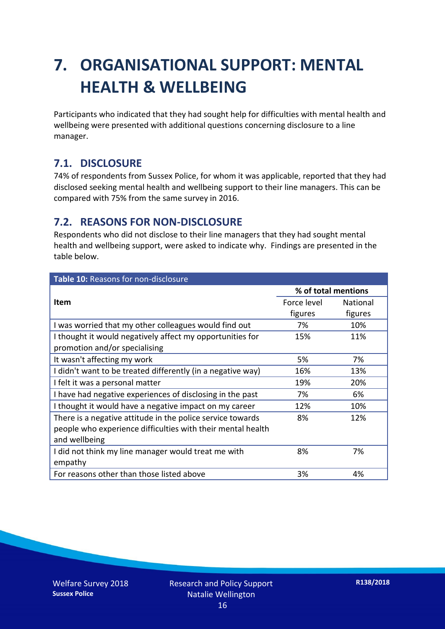# **7. ORGANISATIONAL SUPPORT: MENTAL HEALTH & WELLBEING**

Participants who indicated that they had sought help for difficulties with mental health and wellbeing were presented with additional questions concerning disclosure to a line manager.

### **7.1. DISCLOSURE**

74% of respondents from Sussex Police, for whom it was applicable, reported that they had disclosed seeking mental health and wellbeing support to their line managers. This can be compared with 75% from the same survey in 2016.

#### **7.2. REASONS FOR NON-DISCLOSURE**

Respondents who did not disclose to their line managers that they had sought mental health and wellbeing support, were asked to indicate why. Findings are presented in the table below.

| Table 10: Reasons for non-disclosure                        |                     |          |
|-------------------------------------------------------------|---------------------|----------|
|                                                             | % of total mentions |          |
| <b>Item</b>                                                 | Force level         | National |
|                                                             | figures             | figures  |
| I was worried that my other colleagues would find out       | 7%                  | 10%      |
| I thought it would negatively affect my opportunities for   | 15%                 | 11%      |
| promotion and/or specialising                               |                     |          |
| It wasn't affecting my work                                 | 5%                  | 7%       |
| I didn't want to be treated differently (in a negative way) | 16%                 | 13%      |
| I felt it was a personal matter                             | 19%                 | 20%      |
| I have had negative experiences of disclosing in the past   | 7%                  | 6%       |
| I thought it would have a negative impact on my career      | 12%                 | 10%      |
| There is a negative attitude in the police service towards  | 8%                  | 12%      |
| people who experience difficulties with their mental health |                     |          |
| and wellbeing                                               |                     |          |
| I did not think my line manager would treat me with         | 8%                  | 7%       |
| empathy                                                     |                     |          |
| For reasons other than those listed above                   | 3%                  | 4%       |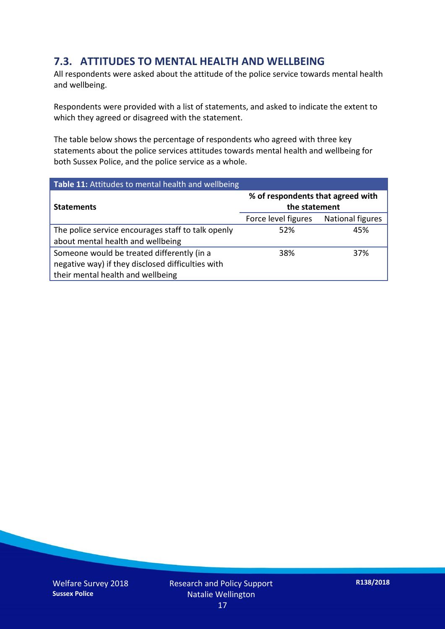### **7.3. ATTITUDES TO MENTAL HEALTH AND WELLBEING**

All respondents were asked about the attitude of the police service towards mental health and wellbeing.

Respondents were provided with a list of statements, and asked to indicate the extent to which they agreed or disagreed with the statement.

The table below shows the percentage of respondents who agreed with three key statements about the police services attitudes towards mental health and wellbeing for both Sussex Police, and the police service as a whole.

| Table 11: Attitudes to mental health and wellbeing |                                                    |                  |  |
|----------------------------------------------------|----------------------------------------------------|------------------|--|
| <b>Statements</b>                                  | % of respondents that agreed with<br>the statement |                  |  |
|                                                    | Force level figures                                | National figures |  |
| The police service encourages staff to talk openly | 52%                                                | 45%              |  |
| about mental health and wellbeing                  |                                                    |                  |  |
| Someone would be treated differently (in a         | 38%                                                | 37%              |  |
| negative way) if they disclosed difficulties with  |                                                    |                  |  |
| their mental health and wellbeing                  |                                                    |                  |  |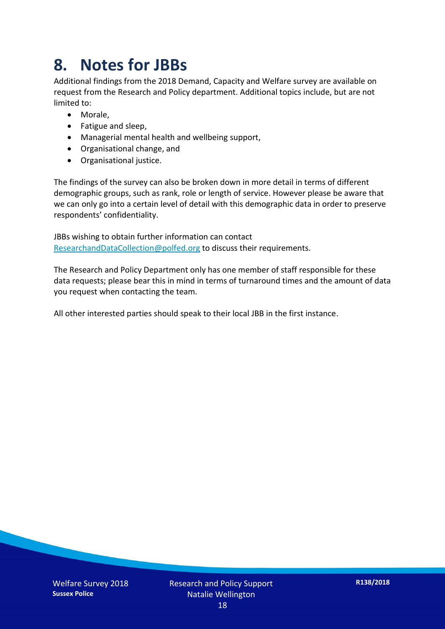# **8. Notes for JBBs**

Additional findings from the 2018 Demand, Capacity and Welfare survey are available on request from the Research and Policy department. Additional topics include, but are not limited to:

- Morale,
- Fatigue and sleep,
- Managerial mental health and wellbeing support,
- Organisational change, and
- Organisational justice.

The findings of the survey can also be broken down in more detail in terms of different demographic groups, such as rank, role or length of service. However please be aware that we can only go into a certain level of detail with this demographic data in order to preserve respondents' confidentiality.

JBBs wishing to obtain further information can contact [ResearchandDataCollection@polfed.org](mailto:ResearchandDataCollection@polfed.org) to discuss their requirements.

The Research and Policy Department only has one member of staff responsible for these data requests; please bear this in mind in terms of turnaround times and the amount of data you request when contacting the team.

All other interested parties should speak to their local JBB in the first instance.